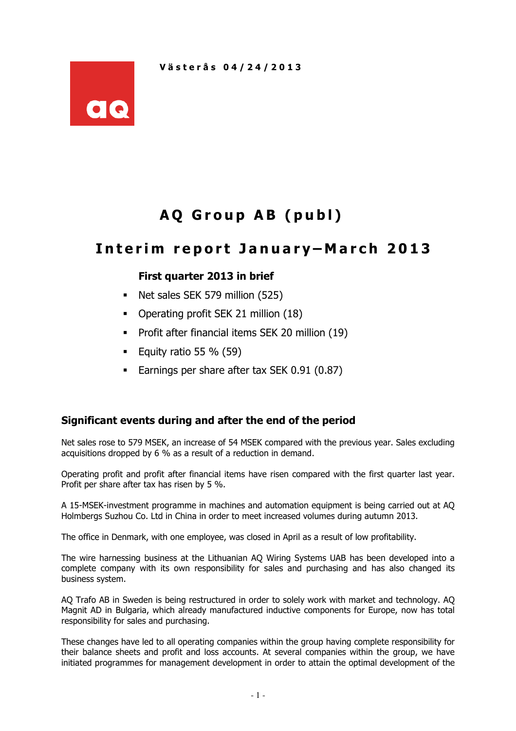

# AQ Group AB (publ)

# Interim report January-March 2013

## First quarter 2013 in brief

- Net sales SEK 579 million (525)
- Operating profit SEK 21 million (18)
- **Profit after financial items SEK 20 million (19)**
- Equity ratio 55  $%$  (59)
- Earnings per share after tax SEK 0.91 (0.87)

## Significant events during and after the end of the period

Net sales rose to 579 MSEK, an increase of 54 MSEK compared with the previous year. Sales excluding acquisitions dropped by 6 % as a result of a reduction in demand.

Operating profit and profit after financial items have risen compared with the first quarter last year. Profit per share after tax has risen by 5 %.

A 15-MSEK-investment programme in machines and automation equipment is being carried out at AQ Holmbergs Suzhou Co. Ltd in China in order to meet increased volumes during autumn 2013.

The office in Denmark, with one employee, was closed in April as a result of low profitability.

The wire harnessing business at the Lithuanian AQ Wiring Systems UAB has been developed into a complete company with its own responsibility for sales and purchasing and has also changed its business system.

AQ Trafo AB in Sweden is being restructured in order to solely work with market and technology. AQ Magnit AD in Bulgaria, which already manufactured inductive components for Europe, now has total responsibility for sales and purchasing.

These changes have led to all operating companies within the group having complete responsibility for their balance sheets and profit and loss accounts. At several companies within the group, we have initiated programmes for management development in order to attain the optimal development of the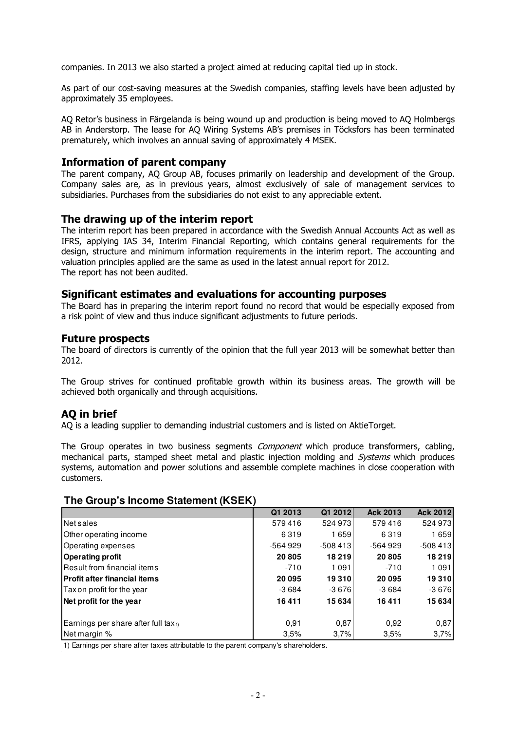companies. In 2013 we also started a project aimed at reducing capital tied up in stock.

As part of our cost-saving measures at the Swedish companies, staffing levels have been adjusted by approximately 35 employees.

AQ Retor's business in Färgelanda is being wound up and production is being moved to AQ Holmbergs AB in Anderstorp. The lease for AQ Wiring Systems AB's premises in Töcksfors has been terminated prematurely, which involves an annual saving of approximately 4 MSEK.

#### Information of parent company

The parent company, AQ Group AB, focuses primarily on leadership and development of the Group. Company sales are, as in previous years, almost exclusively of sale of management services to subsidiaries. Purchases from the subsidiaries do not exist to any appreciable extent.

#### The drawing up of the interim report

The interim report has been prepared in accordance with the Swedish Annual Accounts Act as well as IFRS, applying IAS 34, Interim Financial Reporting, which contains general requirements for the design, structure and minimum information requirements in the interim report. The accounting and valuation principles applied are the same as used in the latest annual report for 2012. The report has not been audited.

#### Significant estimates and evaluations for accounting purposes

The Board has in preparing the interim report found no record that would be especially exposed from a risk point of view and thus induce significant adjustments to future periods.

#### Future prospects

The board of directors is currently of the opinion that the full year 2013 will be somewhat better than 2012.

The Group strives for continued profitable growth within its business areas. The growth will be achieved both organically and through acquisitions.

#### AQ in brief

AQ is a leading supplier to demanding industrial customers and is listed on AktieTorget.

The Group operates in two business segments *Component* which produce transformers, cabling, mechanical parts, stamped sheet metal and plastic injection molding and Systems which produces systems, automation and power solutions and assemble complete machines in close cooperation with customers.

#### **The Group's Income Statement (KSEK)**

|                                                 | Q1 2013   | Q1 2012   | <b>Ack 2013</b> | <b>Ack 2012</b> |
|-------------------------------------------------|-----------|-----------|-----------------|-----------------|
| Net sales                                       | 579416    | 524 973   | 579416          | 524 973         |
| Other operating income                          | 6319      | 1659      | 6319            | 1659            |
| Operating expenses                              | $-564929$ | $-508413$ | $-564929$       | $-508413$       |
| <b>Operating profit</b>                         | 20805     | 18 219    | 20805           | 18 219          |
| <b>IResult from financial items</b>             | $-710$    | 1091      | $-710$          | 1091            |
| <b>Profit after financial items</b>             | 20 095    | 19310     | 20 095          | 19 310          |
| Tax on profit for the year                      | $-3684$   | $-3676$   | $-3684$         | $-3676$         |
| Net profit for the year                         | 16411     | 15634     | 16411           | 15 634          |
|                                                 |           |           |                 |                 |
| Earnings per share after full tax <sub>1)</sub> | 0.91      | 0,87      | 0,92            | 0,87            |
| Net margin %                                    | 3,5%      | 3,7%      | 3,5%            | 3,7%            |

1) Earnings per share after taxes attributable to the parent company's shareholders.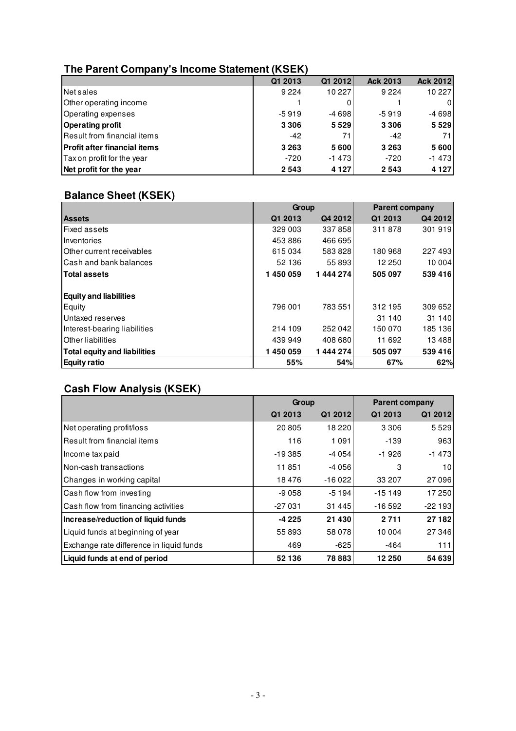# **The Parent Company's Income Statement (KSEK)**

| . .                                 |         |         |                 |          |
|-------------------------------------|---------|---------|-----------------|----------|
|                                     | Q1 2013 | Q1 2012 | <b>Ack 2013</b> | Ack 2012 |
| Net sales                           | 9 2 2 4 | 10227   | 9 2 2 4         | 10 227   |
| Other operating income              |         |         |                 | 0        |
| Operating expenses                  | $-5919$ | $-4698$ | $-5919$         | $-4698$  |
| <b>Operating profit</b>             | 3 3 0 6 | 5529    | 3 3 0 6         | 5 5 2 9  |
| Result from financial items         | $-42$   | 71      | $-42$           | 71       |
| <b>Profit after financial items</b> | 3 2 6 3 | 5600    | 3 2 6 3         | 5600     |
| Tax on profit for the year          | $-720$  | $-1473$ | $-720$          | $-1473$  |
| Net profit for the year             | 2543    | 4 1 2 7 | 2543            | 4 1 2 7  |

# **Balance Sheet (KSEK)**

|                               | Group   |         | <b>Parent company</b> |          |
|-------------------------------|---------|---------|-----------------------|----------|
| <b>Assets</b>                 | Q1 2013 | Q4 2012 | Q1 2013               | Q4 2012  |
| <b>Fixed assets</b>           | 329 003 | 337858  | 311878                | 301919   |
| Inventories                   | 453886  | 466 695 |                       |          |
| Other current receivables     | 615034  | 583828  | 180 968               | 227 493  |
| lCash and bank balances       | 52 136  | 55 893  | 12 250                | 10 004   |
| <b>Total assets</b>           | 1450059 | 1444274 | 505 097               | 539 416  |
| <b>Equity and liabilities</b> |         |         |                       |          |
| Equity                        | 796 001 | 783 551 | 312 195               | 309 652  |
| Untaxed reserves              |         |         | 31 140                | 31 140   |
| Interest-bearing liabilities  | 214 109 | 252042  | 150 070               | 185 136  |
| <b>Other liabilities</b>      | 439 949 | 408 680 | 11 692                | 13 4 8 8 |
| Total equity and liabilities  | 1450059 | 1444274 | 505 097               | 539 416  |
| <b>Equity ratio</b>           | 55%     | 54%     | 67%                   | 62%      |

# **Cash Flow Analysis (KSEK)**

|                                          | Group    |          | <b>Parent company</b> |                 |  |
|------------------------------------------|----------|----------|-----------------------|-----------------|--|
|                                          | Q1 2013  | Q1 2012  | Q1 2013               | Q1 2012         |  |
| Net operating profit/loss                | 20805    | 18 2 20  | 3 3 0 6               | 5529            |  |
| Result from financial items              | 116      | 1091     | $-139$                | 963             |  |
| Income tax paid                          | $-19385$ | $-4054$  | $-1926$               | $-1473$         |  |
| Non-cash transactions                    | 11851    | $-4056$  | 3                     | 10 <sup>1</sup> |  |
| Changes in working capital               | 18476    | $-16022$ | 33 207                | 27 096          |  |
| Cash flow from investing                 | $-9058$  | $-5194$  | $-15149$              | 17 250          |  |
| Cash flow from financing activities      | $-27031$ | 31 445   | $-16592$              | $-22193$        |  |
| Increase/reduction of liquid funds       | -4 225   | 21 430   | 2711                  | 27 182          |  |
| Liquid funds at beginning of year        | 55893    | 58 078   | 10 004                | 27 346          |  |
| Exchange rate difference in liquid funds | 469      | $-625$   | $-464$                | 111             |  |
| Liquid funds at end of period            | 52 136   | 78883    | 12 250                | 54 639          |  |